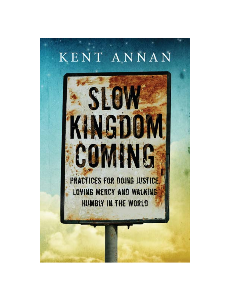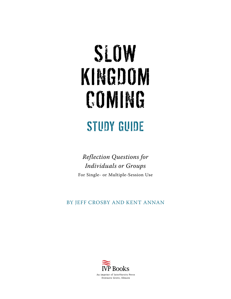# SLOW KINGDOM COMING STUDY GUIDE

*Reflection Questions for Individuals or Groups* For Single- or Multiple-Session Use

BY JEFF CROSBY AND KENT ANNAN

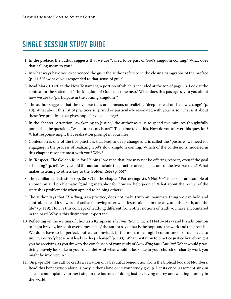### SINGLE-SESSION STUDY GUIDE

- 1. In the preface, the author suggests that we are "called to be part of God's kingdom coming." What does that calling mean to you?
- 2. In what ways have you experienced the guilt the author refers to in the closing paragraphs of the preface (p. 11)? How have you responded to that sense of guilt?
- 3. Read Mark 1:1-20 in the New Testament, a portion of which is included at the top of page 13. Look at the context for the statement "The kingdom of God has come near." What does this passage say to you about how we are to "participate in the coming kingdom"?
- 4. The author suggests that the five practices are a means of realizing "deep instead of shallow change" (p. 18). What about this list of practices surprised or particularly resonated with you? Also, what is it about these five practices that gives hope for deep change?
- 5. In the chapter "Attention: Awakening to Justice," the author asks us to spend five minutes thoughtfully pondering the question, "What breaks my heart?" Take time to do this. How do you answer this question? What response might that realization prompt in your life?
- 6. Confession is one of the five practices that lead to deep change and is called the "posture" we need for engaging in the process of realizing God's slow kingdom coming. Which of the confessions modeled in this chapter resonate most with you? Why?
- 7. In "Respect: The Golden Rule for Helping," we read that "we may not be offering respect, even if the goal is helping" (p. 64). Why would the author include the practice of respect as one of the five practices? What makes listening to others key to the Golden Rule (p. 66)?
- 8. The familiar starfish story (pp. 86-87) in the chapter "Partnering: *With* Not *For*" is used as an example of a common and problematic "guiding metaphor for how we help people." What about the rescue of the starfish is problematic when applied to helping others?
- 9. The author says that "*Truthing*, as a practice, does not make truth an inanimate thing we can hold and control. Instead it's a word of active following after what Jesus said, 'I am the way, and the truth, and the life'" (p. 119). How is this concept of truthing different from other notions of truth you have encountered in the past? Why is this distinction important?
- 10. Reflecting on the writing of Thomas à Kempis in *The Imitation of Christ* (1418–1427) and his admonition to "fight bravely, for habit overcomes habit," the author says "that is the hope and the work and the promise. We don't have to be perfect, but we are invited, in the most meaningful commitment of our lives, to *practice bravely* because it leads to deep change" (p. 133). What invitation to practice justice bravely might you be receiving as you draw to the conclusion of your study of *Slow Kingdom Coming*? What would practicing bravely look like in your own life? And what would it look like in your church or charity work you might be involved in?
- 11. On page 134, the author crafts a variation on a beautiful benediction from the biblical book of Numbers. Read this benediction aloud, slowly, either alone or in your study group. Let its encouragement sink in as you contemplate your next step in the journey of doing justice, loving mercy and walking humbly in the world.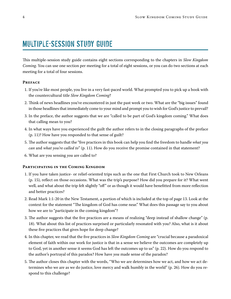## MULTIPLE-SESSION STUDY GUIDE

This multiple-session study guide contains eight sections corresponding to the chapters in *Slow Kingdom Coming*. You can use one section per meeting for a total of eight sessions, or you can do two sections at each meeting for a total of four sessions.

#### **Preface**

- 1. If you're like most people, you live in a very fast-paced world. What prompted you to pick up a book with the countercultural title *Slow Kingdom Coming*?
- 2. Think of news headlines you've encountered in just the past week or two. What are the "big issues" found in those headlines that immediately come to your mind and prompt you to wish for God's justice to prevail?
- 3. In the preface, the author suggests that we are "called to be part of God's kingdom coming." What does that calling mean to you?
- 4. In what ways have you experienced the guilt the author refers to in the closing paragraphs of the preface (p. 11)? How have you responded to that sense of guilt?
- 5. The author suggests that the "five practices in this book can help you find the freedom to handle *what you can* and *what you're called to*" (p. 11). How do you receive the promise contained in that statement?
- 6. What are you sensing *you* are called to?

#### **Participating in the Coming Kingdom**

- 1. If you have taken justice- or relief-oriented trips such as the one that First Church took to New Orleans (p. 15), reflect on those occasions. What was the trip's purpose? How did you prepare for it? What went well, and what about the trip felt slightly "off" or as though it would have benefitted from more reflection and better practices?
- 2. Read Mark 1:1-20 in the New Testament, a portion of which is included at the top of page 13. Look at the context for the statement "The kingdom of God has come near." What does this passage say to you about how we are to "participate in the coming kingdom"?
- 3. The author suggests that the five practices are a means of realizing "deep instead of shallow change" (p. 18). What about this list of practices surprised or particularly resonated with you? Also, what is it about these five practices that gives hope for deep change?
- 4. In this chapter, we read that the five practices in *Slow Kingdom Coming* are "crucial because a paradoxical element of faith within our work for justice is that in a sense we believe the outcomes are completely up to God, yet in another sense it seems God has left the outcomes up to us" (p. 22). How do you respond to the author's portrayal of this paradox? How have *you* made sense of the paradox?
- 5. The author closes this chapter with the words, "Who we are determines how we act, and how we act determines who we are as we do justice, love mercy and walk humbly in the world" (p. 26). How do you respond to this challenge?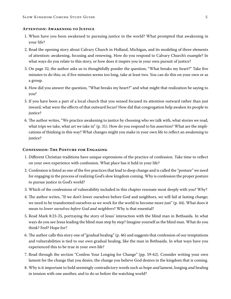#### **Attention: Awakening to Justice**

- 1. When have you been awakened to pursuing justice in the world? What prompted that awakening in your life?
- 2. Read the opening story about Calvary Church in Holland, Michigan, and its modeling of three elements of attention: awakening, focusing and renewing. How do you respond to Calvary Church's example? In what ways do you relate to this story, or how does it inspire you in your own pursuit of justice?
- 3. On page 32, the author asks us to thoughtfully ponder the question, "What breaks my heart?" Take five minutes to do this; or, if five minutes seems too long, take at least two. You can do this on your own or as a group.
- 4. How did you answer the question, "What breaks my heart?" and what might that realization be saying to you?
- 5. If you have been a part of a local church that you sensed focused its attention outward rather than just inward, what were the effects of that outward focus? How did that congregation help awaken its people to justice?
- 6. The author writes, "We practice awakening to justice by choosing who we talk with, what stories we read, what trips we take, what art we take in" (p. 31). How do you respond to his assertion? What are the implications of thinking in this way? What changes might you make in your own life to reflect an awakening to justice?

#### **Confession: The Posture for Engaging**

- 1. Different Christian traditions have unique expressions of the practice of confession. Take time to reflect on your own experience with confession. What place has it held in your life?
- 2. Confession is listed as one of the five practices that lead to deep change and is called the "posture" we need for engaging in the process of realizing God's slow kingdom coming. Why is confession the proper posture to pursue justice in God's world?
- 3. Which of the confessions of vulnerability included in this chapter resonate most deeply with you? Why?
- 4. The author writes, "If we don't lower ourselves before God and neighbors, we will fail at lasting change; we need to be transformed ourselves as we work for the world to become more just" (p. 44). What does it mean to *lower ourselves before God and neighbors*? Why is that essential?
- 5. Read Mark 8:23-25, portraying the story of Jesus' interaction with the blind man in Bethsaida. In what ways do you see Jesus leading the blind man step by step? Imagine yourself as the blind man. What do you think? Feel? Hope for?
- 6. The author calls this story one of "gradual healing" (p. 46) and suggests that confession of our temptations and vulnerabilities is tied to our own gradual healing, like the man in Bethsaida. In what ways have you experienced this to be true in your own life?
- 7. Read through the section "Confess Your Longing for Change" (pp. 59-62). Consider writing your own lament for the change that you desire, the change you believe God desires in the kingdom that is coming.
- 8. Why is it important to hold seemingly contradictory words such as hope *and* lament, longing *and* healing in tension with one another, and to do so before the watching world?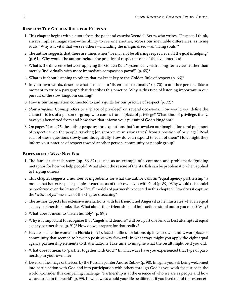#### **Respect: The Golden Rule for Helping**

- 1. This chapter begins with a quote from the poet and essayist Wendell Berry, who writes, "Respect, I think, always implies imagination—the ability to see one another, across our inevitable differences, as living souls." Why is it vital that we see others—including the marginalized—as "living souls"?
- 2. The author suggests that there are times when "we may not be offering respect, even if the goal is helping" (p. 64). Why would the author include the practice of respect as one of the five practices?
- 3. What is the difference between applying the Golden Rule "systemically with a long-term view" rather than merely "individually with more immediate compassion payoff" (p. 65)?
- 4. What is it about listening to others that makes it key to the Golden Rule of respect (p. 66)?
- 5. In your own words, describe what it means to "listen incarnationally" (p. 70) to another person. Take a moment to write a paragraph that describes this practice. Why is this type of listening important in our pursuit of the slow kingdom coming?
- 6. How is our imagination connected to and a guide for our practice of respect (p. 72)?
- 7. *Slow Kingdom Coming* refers to a "place of privilege" on several occasions. How would you define the characteristics of a person or group who comes from a place of privilege? What kind of privilege, if any, have you benefitted from and how does that inform your pursuit of God's kingdom?
- 8. On pages 74 and 75, the author proposes three questions that "can awaken our imaginations and put a sort of *respect tax* on the people traveling [on short-term missions trips] from a position of privilege." Read each of these questions slowly and thoughtfully. How do you respond to each of them? How might they inform your practice of respect toward another person, community or people group?

#### **Partnering:** *With* **Not** *For*

- 1. The familiar starfish story (pp. 86-87) is used as an example of a common and problematic "guiding metaphor for how we help people." What about the rescue of the starfish can be problematic when applied to helping others?
- 2. This chapter suggests a number of ingredients for what the author calls an "equal agency partnership," a model that better respects people as cocreators of their own lives with God (p. 89). Why would this model be preferred over the "rescue" or "fix it" models of partnership covered in this chapter? How does it capture the "*with* not *for*" essence of the chapter's teaching?
- 3. The author depicts his extensive interactions with his friend Enel Angervil as he illustrates what an equal agency partnership looks like. What about their friendship and interactions stood out to you most? Why?
- 4. What does it mean to "listen humbly" (p. 89)?
- 5. Why is it important to recognize that "angels and demons" will be a part of even our best attempts at equal agency partnerships (p. 91)? How do we prepare for that reality?
- 6. Have you, like the woman in Florida (p. 95), faced a difficult relationship in your own family, workplace or community that seemed to have no positive way forward? In what ways might you apply the eight equal agency partnership elements to that situation? Take time to imagine what the result might be if you did.
- 7. What does it mean to "partner together with God"? In what ways have you experienced that type of partnership in your own life?
- 8. Dwell on the image of the icon by the Russian painter Andrei Rublev (p. 98). Imagine yourself being welcomed into participation with God and into participation with others through God as you work for justice in the world. Consider this compelling challenge: "Partnership is at the essence of who we are as people and how we are to act in the world" (p. 99). In what ways would your life be different if you lived out of this essence?